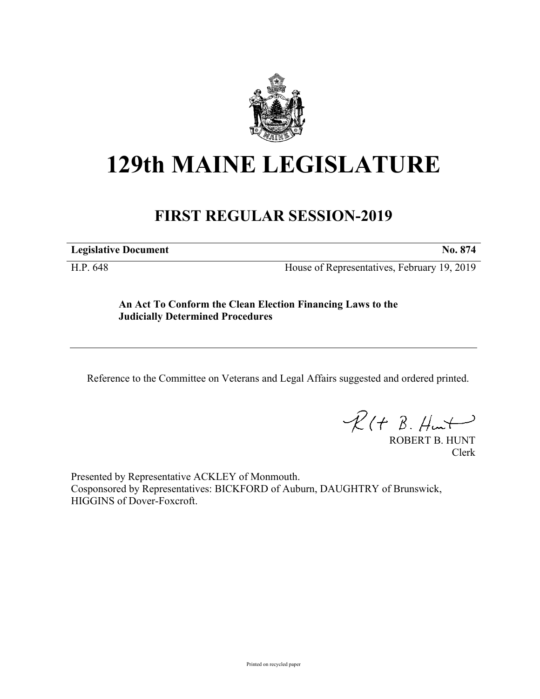

## **129th MAINE LEGISLATURE**

## **FIRST REGULAR SESSION-2019**

**Legislative Document No. 874**

H.P. 648 House of Representatives, February 19, 2019

**An Act To Conform the Clean Election Financing Laws to the Judicially Determined Procedures**

Reference to the Committee on Veterans and Legal Affairs suggested and ordered printed.

 $R(t B. Hmt)$ 

ROBERT B. HUNT Clerk

Presented by Representative ACKLEY of Monmouth. Cosponsored by Representatives: BICKFORD of Auburn, DAUGHTRY of Brunswick, HIGGINS of Dover-Foxcroft.